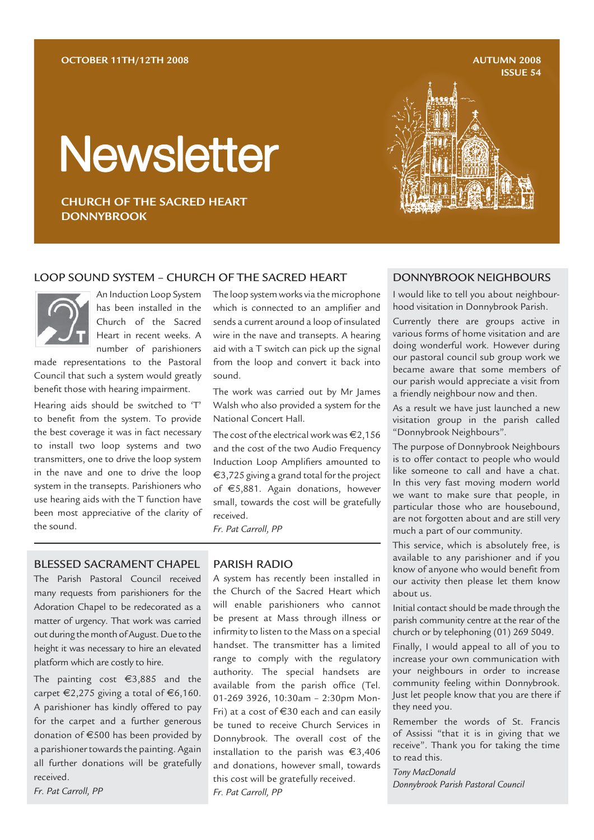**AUTUMN 2008 ISSUE 54**

# **Newsletter**

**CHURCH OF THE SACRED HEART DONNYBROOK**

#### LOOP SOUND SYSTEM - CHURCH OF THE SACRED HEART DONNYBROOK NEIGHBOURS

An Induction Loop System has been installed in the Church of the Sacred Heart in recent weeks. A number of parishioners

made representations to the Pastoral Council that such a system would greatly benefit those with hearing impairment.

Hearing aids should be switched to 'T' to benefit from the system. To provide the best coverage it was in fact necessary to install two loop systems and two transmitters, one to drive the loop system in the nave and one to drive the loop system in the transepts. Parishioners who use hearing aids with the T function have been most appreciative of the clarity of the sound.

The loop system works via the microphone which is connected to an amplifier and sends a current around a loop of insulated wire in the nave and transepts. A hearing aid with a T switch can pick up the signal from the loop and convert it back into sound.

The work was carried out by Mr James Walsh who also provided a system for the National Concert Hall.

The cost of the electrical work was  $\in$  2.156 and the cost of the two Audio Frequency Induction Loop Amplifiers amounted to €3,725 giving a grand total for the project of €5,881. Again donations, however small, towards the cost will be gratefully received.

*Fr. Pat Carroll, PP*

#### BLESSED SACRAMENT CHAPEL

The Parish Pastoral Council received many requests from parishioners for the Adoration Chapel to be redecorated as a matter of urgency. That work was carried out during the month of August. Due to the height it was necessary to hire an elevated platform which are costly to hire.

The painting cost €3,885 and the carpet  $\epsilon$ 2,275 giving a total of  $\epsilon$ 6,160. A parishioner has kindly offered to pay for the carpet and a further generous donation of €500 has been provided by a parishioner towards the painting. Again all further donations will be gratefully received.

*Fr. Pat Carroll, PP*

#### PARISH RADIO

A system has recently been installed in the Church of the Sacred Heart which will enable parishioners who cannot be present at Mass through illness or infirmity to listen to the Mass on a special handset. The transmitter has a limited range to comply with the regulatory authority. The special handsets are available from the parish office (Tel. 01-269 3926, 10:30am – 2:30pm Mon-Fri) at a cost of €30 each and can easily be tuned to receive Church Services in Donnybrook. The overall cost of the installation to the parish was €3,406 and donations, however small, towards this cost will be gratefully received. *Fr. Pat Carroll, PP*

I would like to tell you about neighbourhood visitation in Donnybrook Parish.

Currently there are groups active in various forms of home visitation and are doing wonderful work. However during our pastoral council sub group work we became aware that some members of our parish would appreciate a visit from a friendly neighbour now and then.

As a result we have just launched a new visitation group in the parish called "Donnybrook Neighbours".

The purpose of Donnybrook Neighbours is to offer contact to people who would like someone to call and have a chat. In this very fast moving modern world we want to make sure that people, in particular those who are housebound, are not forgotten about and are still very much a part of our community.

This service, which is absolutely free, is available to any parishioner and if you know of anyone who would benefit from our activity then please let them know about us.

Initial contact should be made through the parish community centre at the rear of the church or by telephoning (01) 269 5049.

Finally, I would appeal to all of you to increase your own communication with your neighbours in order to increase community feeling within Donnybrook. Just let people know that you are there if they need you.

Remember the words of St. Francis of Assissi "that it is in giving that we receive". Thank you for taking the time to read this.

*Tony MacDonald Donnybrook Parish Pastoral Council*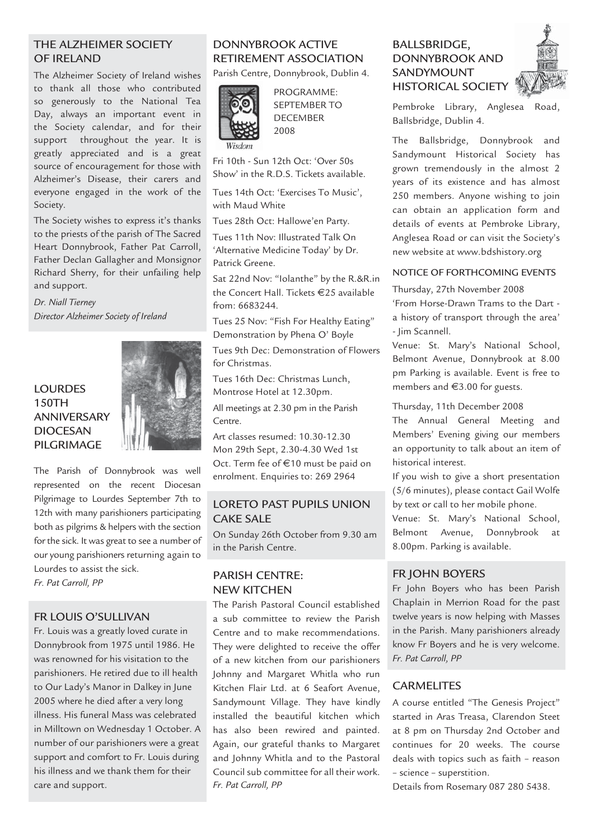#### THE ALZHEIMER SOCIETY OF IRELAND

The Alzheimer Society of Ireland wishes to thank all those who contributed so generously to the National Tea Day, always an important event in the Society calendar, and for their support throughout the year. It is greatly appreciated and is a great source of encouragement for those with Alzheimer's Disease, their carers and everyone engaged in the work of the Society.

The Society wishes to express it's thanks to the priests of the parish of The Sacred Heart Donnybrook, Father Pat Carroll, Father Declan Gallagher and Monsignor Richard Sherry, for their unfailing help and support.

*Dr. Niall Tierney Director Alzheimer Society of Ireland*

## LOURDES 150TH ANNIVERSARY DIOCESAN PILGRIMAGE



The Parish of Donnybrook was well represented on the recent Diocesan Pilgrimage to Lourdes September 7th to 12th with many parishioners participating both as pilgrims & helpers with the section for the sick. It was great to see a number of our young parishioners returning again to Lourdes to assist the sick.

*Fr. Pat Carroll, PP*

#### FR LOUIS O'SULLIVAN

Fr. Louis was a greatly loved curate in Donnybrook from 1975 until 1986. He was renowned for his visitation to the parishioners. He retired due to ill health to Our Lady's Manor in Dalkey in June 2005 where he died after a very long illness. His funeral Mass was celebrated in Milltown on Wednesday 1 October. A number of our parishioners were a great support and comfort to Fr. Louis during his illness and we thank them for their care and support.

## DONNYBROOK ACTIVE RETIREMENT ASSOCIATION

Parish Centre, Donnybrook, Dublin 4.



PROGRAMME: SEPTEMBER TO DECEMBER 2008

Fri 10th - Sun 12th Oct: 'Over 50s Show' in the R.D.S. Tickets available.

Tues 14th Oct: 'Exercises To Music', with Maud White

Tues 28th Oct: Hallowe'en Party.

Tues 11th Nov: Illustrated Talk On 'Alternative Medicine Today' by Dr. Patrick Greene.

Sat 22nd Nov: "Iolanthe" by the R.&R.in the Concert Hall. Tickets €25 available from: 6683244.

Tues 25 Nov: "Fish For Healthy Eating" Demonstration by Phena O' Boyle

Tues 9th Dec: Demonstration of Flowers for Christmas.

Tues 16th Dec: Christmas Lunch, Montrose Hotel at 12.30pm.

All meetings at 2.30 pm in the Parish Centre.

Art classes resumed: 10.30-12.30 Mon 29th Sept, 2.30-4.30 Wed 1st Oct. Term fee of €10 must be paid on enrolment. Enquiries to: 269 2964

#### LORETO PAST PUPILS UNION CAKE SALE

On Sunday 26th October from 9.30 am in the Parish Centre.

#### PARISH CENTRE: NEW KITCHEN

The Parish Pastoral Council established a sub committee to review the Parish Centre and to make recommendations. They were delighted to receive the offer of a new kitchen from our parishioners Johnny and Margaret Whitla who run Kitchen Flair Ltd. at 6 Seafort Avenue, Sandymount Village. They have kindly installed the beautiful kitchen which has also been rewired and painted. Again, our grateful thanks to Margaret and Johnny Whitla and to the Pastoral Council sub committee for all their work. *Fr. Pat Carroll, PP*

## BALLSBRIDGE, DONNYBROOK AND SANDYMOUNT HISTORICAL SOCIETY



Pembroke Library, Anglesea Road, Ballsbridge, Dublin 4.

The Ballsbridge, Donnybrook and Sandymount Historical Society has grown tremendously in the almost 2 years of its existence and has almost 250 members. Anyone wishing to join can obtain an application form and details of events at Pembroke Library, Anglesea Road or can visit the Society's new website at www.bdshistory.org

#### NOTICE OF FORTHCOMING EVENTS

Thursday, 27th November 2008

'From Horse-Drawn Trams to the Dart a history of transport through the area' - Jim Scannell.

Venue: St. Mary's National School, Belmont Avenue, Donnybrook at 8.00 pm Parking is available. Event is free to members and €3.00 for guests.

Thursday, 11th December 2008

The Annual General Meeting and Members' Evening giving our members an opportunity to talk about an item of historical interest.

If you wish to give a short presentation (5/6 minutes), please contact Gail Wolfe by text or call to her mobile phone.

Venue: St. Mary's National School, Belmont Avenue, Donnybrook at 8.00pm. Parking is available.

#### FR JOHN BOYERS

Fr John Boyers who has been Parish Chaplain in Merrion Road for the past twelve years is now helping with Masses in the Parish. Many parishioners already know Fr Boyers and he is very welcome. *Fr. Pat Carroll, PP*

#### **CARMELITES**

A course entitled "The Genesis Project" started in Aras Treasa, Clarendon Steet at 8 pm on Thursday 2nd October and continues for 20 weeks. The course deals with topics such as faith – reason – science – superstition.

Details from Rosemary 087 280 5438.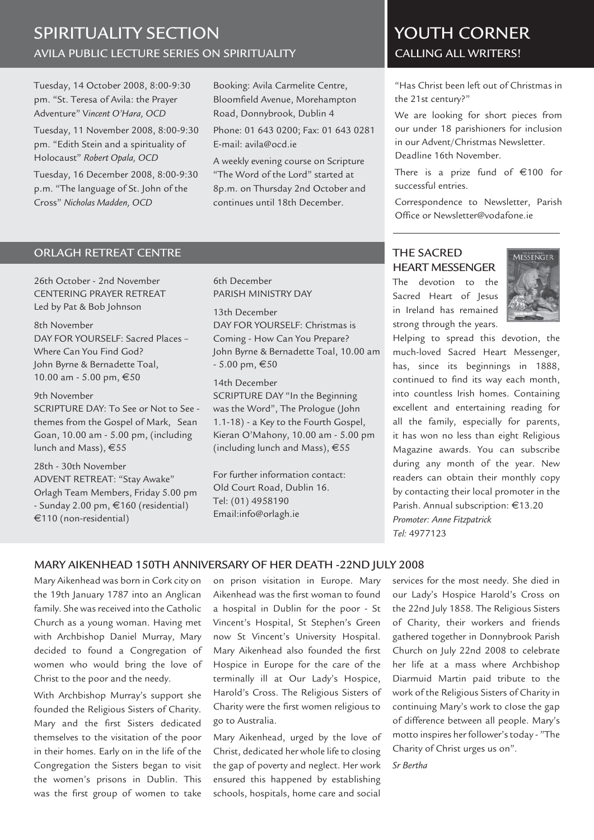# AVILA PUBLIC LECTURE SERIES ON SPIRITUALITY CALLING ALL WRITERS! SPIRITUALITY SECTION AND VOUTH CORNER

Tuesday, 14 October 2008, 8:00-9:30 pm. "St. Teresa of Avila: the Prayer Adventure" V*incent O'Hara, OCD*

Tuesday, 11 November 2008, 8:00-9:30 pm. "Edith Stein and a spirituality of Holocaust" *Robert Opala, OCD*

Tuesday, 16 December 2008, 8:00-9:30 p.m. "The language of St. John of the Cross" *Nicholas Madden, OCD*

Booking: Avila Carmelite Centre, Bloomfield Avenue, Morehampton Road, Donnybrook, Dublin 4

Phone: 01 643 0200; Fax: 01 643 0281 E-mail: avila@ocd.ie

A weekly evening course on Scripture "The Word of the Lord" started at 8p.m. on Thursday 2nd October and continues until 18th December.

"Has Christ been left out of Christmas in the 21st century?"

We are looking for short pieces from our under 18 parishioners for inclusion in our Advent/Christmas Newsletter. Deadline 16th November.

There is a prize fund of  $€100$  for successful entries.

Correspondence to Newsletter, Parish Office or Newsletter@vodafone.ie

#### ORLAGH RETREAT CENTRE

26th October - 2nd November CENTERING PRAYER RETREAT Led by Pat & Bob Johnson

#### 8th November

DAY FOR YOURSELF: Sacred Places – Where Can You Find God? John Byrne & Bernadette Toal, 10.00 am - 5.00 pm, €50

#### 9th November

SCRIPTURE DAY: To See or Not to See themes from the Gospel of Mark, Sean Goan, 10.00 am - 5.00 pm, (including lunch and Mass), €55

28th - 30th November ADVENT RETREAT: "Stay Awake" Orlagh Team Members, Friday 5.00 pm - Sunday 2.00 pm, €160 (residential) €110 (non-residential)

#### 6th December PARISH MINISTRY DAY

13th December DAY FOR YOURSELF: Christmas is Coming - How Can You Prepare? John Byrne & Bernadette Toal, 10.00 am  $-5.00 \text{ pm}, \text{£}50$ 

14th December SCRIPTURE DAY "In the Beginning was the Word", The Prologue (John 1.1-18) - a Key to the Fourth Gospel, Kieran O'Mahony, 10.00 am - 5.00 pm (including lunch and Mass), €55

For further information contact: Old Court Road, Dublin 16. Tel: (01) 4958190 Email:info@orlagh.ie

# THE SACRED HEART MESSENGER

The devotion to the Sacred Heart of Jesus in Ireland has remained strong through the years.



Helping to spread this devotion, the much-loved Sacred Heart Messenger, has, since its beginnings in 1888, continued to find its way each month, into countless Irish homes. Containing excellent and entertaining reading for all the family, especially for parents, it has won no less than eight Religious Magazine awards. You can subscribe during any month of the year. New readers can obtain their monthly copy by contacting their local promoter in the Parish. Annual subscription: €13.20 *Promoter: Anne Fitzpatrick Tel:* 4977123

#### MARY AIKENHEAD 150TH ANNIVERSARY OF HER DEATH -22ND JULY 2008

Mary Aikenhead was born in Cork city on the 19th January 1787 into an Anglican family. She was received into the Catholic Church as a young woman. Having met with Archbishop Daniel Murray, Mary decided to found a Congregation of women who would bring the love of Christ to the poor and the needy.

With Archbishop Murray's support she founded the Religious Sisters of Charity. Mary and the first Sisters dedicated themselves to the visitation of the poor in their homes. Early on in the life of the Congregation the Sisters began to visit the women's prisons in Dublin. This was the first group of women to take

on prison visitation in Europe. Mary Aikenhead was the first woman to found a hospital in Dublin for the poor - St Vincent's Hospital, St Stephen's Green now St Vincent's University Hospital. Mary Aikenhead also founded the first Hospice in Europe for the care of the terminally ill at Our Lady's Hospice, Harold's Cross. The Religious Sisters of Charity were the first women religious to go to Australia.

Mary Aikenhead, urged by the love of Christ, dedicated her whole life to closing the gap of poverty and neglect. Her work ensured this happened by establishing schools, hospitals, home care and social

services for the most needy. She died in our Lady's Hospice Harold's Cross on the 22nd July 1858. The Religious Sisters of Charity, their workers and friends gathered together in Donnybrook Parish Church on July 22nd 2008 to celebrate her life at a mass where Archbishop Diarmuid Martin paid tribute to the work of the Religious Sisters of Charity in continuing Mary's work to cIose the gap of difference between all people. Mary's motto inspires her follower's today - "The Charity of Christ urges us on".

*Sr Bertha*